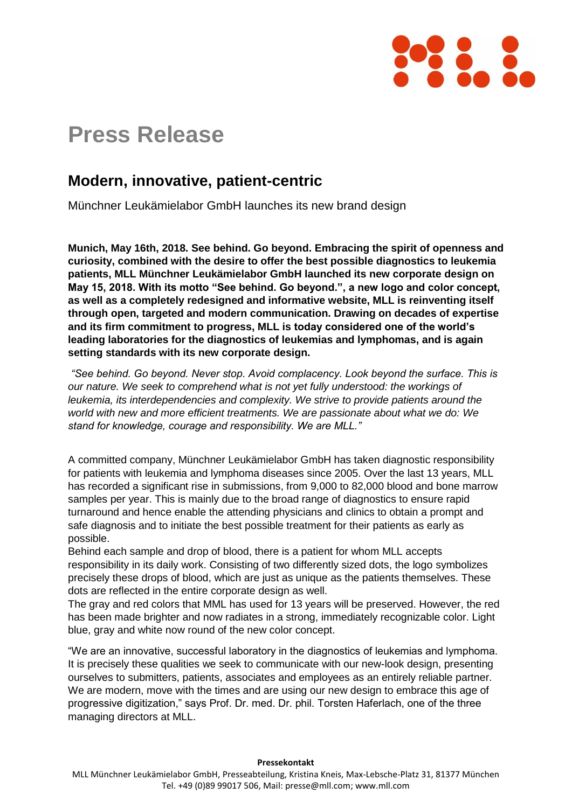

## **Press Release**

## **Modern, innovative, patient-centric**

Münchner Leukämielabor GmbH launches its new brand design

**Munich, May 16th, 2018. See behind. Go beyond. Embracing the spirit of openness and curiosity, combined with the desire to offer the best possible diagnostics to leukemia patients, MLL Münchner Leukämielabor GmbH launched its new corporate design on May 15, 2018. With its motto "See behind. Go beyond.", a new logo and color concept, as well as a completely redesigned and informative website, MLL is reinventing itself through open, targeted and modern communication. Drawing on decades of expertise and its firm commitment to progress, MLL is today considered one of the world's leading laboratories for the diagnostics of leukemias and lymphomas, and is again setting standards with its new corporate design.** 

*"See behind. Go beyond. Never stop. Avoid complacency. Look beyond the surface. This is our nature. We seek to comprehend what is not yet fully understood: the workings of leukemia, its interdependencies and complexity. We strive to provide patients around the world with new and more efficient treatments. We are passionate about what we do: We stand for knowledge, courage and responsibility. We are MLL."*

A committed company, Münchner Leukämielabor GmbH has taken diagnostic responsibility for patients with leukemia and lymphoma diseases since 2005. Over the last 13 years, MLL has recorded a significant rise in submissions, from 9,000 to 82,000 blood and bone marrow samples per year. This is mainly due to the broad range of diagnostics to ensure rapid turnaround and hence enable the attending physicians and clinics to obtain a prompt and safe diagnosis and to initiate the best possible treatment for their patients as early as possible.

Behind each sample and drop of blood, there is a patient for whom MLL accepts responsibility in its daily work. Consisting of two differently sized dots, the logo symbolizes precisely these drops of blood, which are just as unique as the patients themselves. These dots are reflected in the entire corporate design as well.

The gray and red colors that MML has used for 13 years will be preserved. However, the red has been made brighter and now radiates in a strong, immediately recognizable color. Light blue, gray and white now round of the new color concept.

"We are an innovative, successful laboratory in the diagnostics of leukemias and lymphoma. It is precisely these qualities we seek to communicate with our new-look design, presenting ourselves to submitters, patients, associates and employees as an entirely reliable partner. We are modern, move with the times and are using our new design to embrace this age of progressive digitization," says Prof. Dr. med. Dr. phil. Torsten Haferlach, one of the three managing directors at MLL.

## **Pressekontakt**